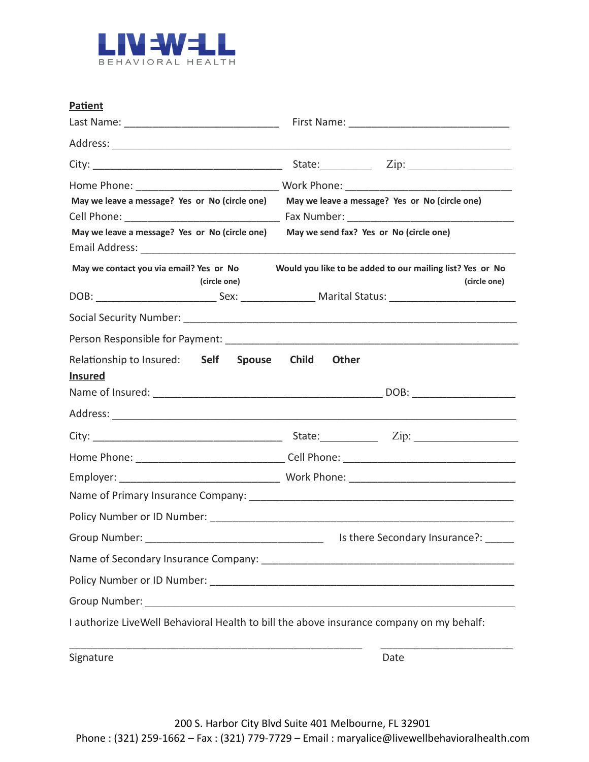

| Patient                                                 |                                                                                                                |
|---------------------------------------------------------|----------------------------------------------------------------------------------------------------------------|
|                                                         |                                                                                                                |
|                                                         |                                                                                                                |
|                                                         | State: <u>Zip: Zip:</u>                                                                                        |
| May we leave a message? Yes or No (circle one)          | May we leave a message? Yes or No (circle one)                                                                 |
|                                                         |                                                                                                                |
| May we leave a message? Yes or No (circle one)          | May we send fax? Yes or No (circle one)                                                                        |
|                                                         |                                                                                                                |
| May we contact you via email? Yes or No<br>(circle one) | Would you like to be added to our mailing list? Yes or No<br>(circle one)                                      |
|                                                         | DOB: ________________________________Sex: _______________________Marital Status: _____________________________ |
|                                                         |                                                                                                                |
|                                                         |                                                                                                                |
| Relationship to Insured: Self<br><b>Insured</b>         | Spouse Child<br><b>Other</b>                                                                                   |
|                                                         |                                                                                                                |
| Address: <u>Address:</u>                                |                                                                                                                |
|                                                         |                                                                                                                |
|                                                         |                                                                                                                |
|                                                         |                                                                                                                |
|                                                         |                                                                                                                |
|                                                         |                                                                                                                |
|                                                         | Is there Secondary Insurance?:                                                                                 |
|                                                         |                                                                                                                |
|                                                         |                                                                                                                |
|                                                         |                                                                                                                |
|                                                         | I authorize LiveWell Behavioral Health to bill the above insurance company on my behalf:                       |
| Signature                                               | Date                                                                                                           |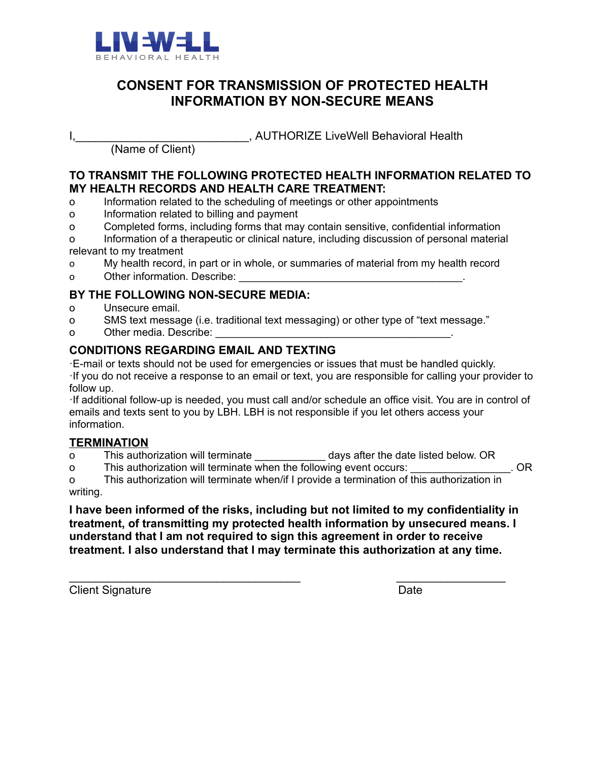

## **CONSENT FOR TRANSMISSION OF PROTECTED HEALTH INFORMATION BY NON-SECURE MEANS**

**I, LEGGE AUTHORIZE LiveWell Behavioral Health** 

(Name of Client)

#### **TO TRANSMIT THE FOLLOWING PROTECTED HEALTH INFORMATION RELATED TO MY HEALTH RECORDS AND HEALTH CARE TREATMENT:**

- o Information related to the scheduling of meetings or other appointments
- o Information related to billing and payment
- o Completed forms, including forms that may contain sensitive, confidential information

o Information of a therapeutic or clinical nature, including discussion of personal material relevant to my treatment

- o My health record, in part or in whole, or summaries of material from my health record
- o Cther information. Describe:  $\Box$

#### **BY THE FOLLOWING NON-SECURE MEDIA:**

- o Unsecure email.
- o SMS text message (i.e. traditional text messaging) or other type of "text message."
- o Other media. Describe:

## **CONDITIONS REGARDING EMAIL AND TEXTING**

·E-mail or texts should not be used for emergencies or issues that must be handled quickly. ·If you do not receive a response to an email or text, you are responsible for calling your provider to follow up.

·If additional follow-up is needed, you must call and/or schedule an office visit. You are in control of emails and texts sent to you by LBH. LBH is not responsible if you let others access your information.

#### **TERMINATION**

o This authorization will terminate **the days after the date listed below. OR** 

o This authorization will terminate when the following event occurs:  $\overline{\phantom{a}}$  CR

o This authorization will terminate when/if I provide a termination of this authorization in writing.

**I have been informed of the risks, including but not limited to my confidentiality in treatment, of transmitting my protected health information by unsecured means. I understand that I am not required to sign this agreement in order to receive treatment. I also understand that I may terminate this authorization at any time.** 

 $\frac{1}{2}$  ,  $\frac{1}{2}$  ,  $\frac{1}{2}$  ,  $\frac{1}{2}$  ,  $\frac{1}{2}$  ,  $\frac{1}{2}$  ,  $\frac{1}{2}$  ,  $\frac{1}{2}$  ,  $\frac{1}{2}$  ,  $\frac{1}{2}$  ,  $\frac{1}{2}$  ,  $\frac{1}{2}$  ,  $\frac{1}{2}$  ,  $\frac{1}{2}$  ,  $\frac{1}{2}$  ,  $\frac{1}{2}$  ,  $\frac{1}{2}$  ,  $\frac{1}{2}$  ,  $\frac{1$ 

**Client Signature Date**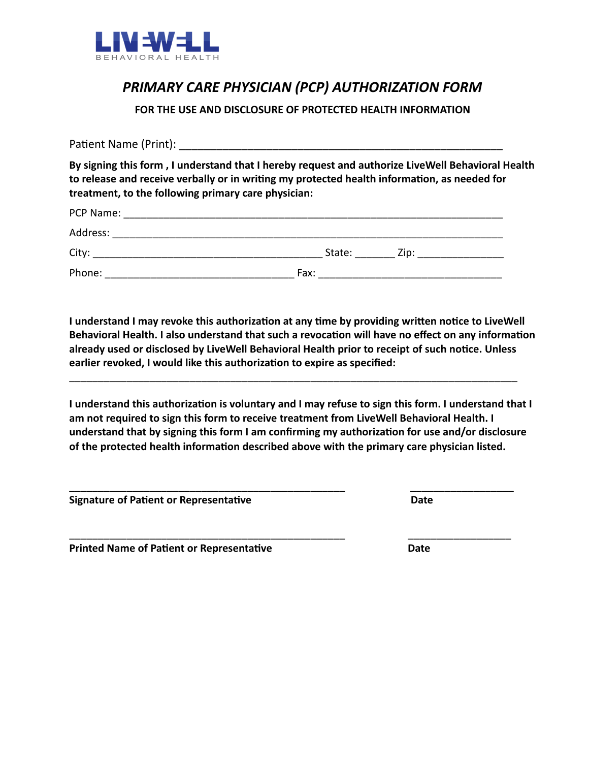

# *PRIMARY CARE PHYSICIAN (PCP) AUTHORIZATION FORM*

**FOR THE USE AND DISCLOSURE OF PROTECTED HEALTH INFORMATION** 

Paent Name (Print): \_\_\_\_\_\_\_\_\_\_\_\_\_\_\_\_\_\_\_\_\_\_\_\_\_\_\_\_\_\_\_\_\_\_\_\_\_\_\_\_\_\_\_\_\_\_\_\_\_\_\_\_ **By signing this form , I understand that I hereby request and authorize LiveWell Behavioral Health**  to release and receive verbally or in writing my protected health information, as needed for **treatment, to the following primary care physician:** 

| PCP Name:<br><u> 1980 - Jan Barbara, martxa a shekara 1980 - Ang Barbara na Barbara na Barbara na Barbara na Barbara na Barbara</u> |      |             |  |
|-------------------------------------------------------------------------------------------------------------------------------------|------|-------------|--|
| Address:                                                                                                                            |      |             |  |
| City:                                                                                                                               |      | State: Zip: |  |
| Phone:                                                                                                                              | Fax: |             |  |

**I** understand I may revoke this authorization at any time by providing written notice to LiveWell Behavioral Health. I also understand that such a revocation will have no effect on any information already used or disclosed by LiveWell Behavioral Health prior to receipt of such notice. Unless **earlier revoked, I would like this authorization to expire as specified:** 

\_\_\_\_\_\_\_\_\_\_\_\_\_\_\_\_\_\_\_\_\_\_\_\_\_\_\_\_\_\_\_\_\_\_\_\_\_\_\_\_\_\_\_\_\_\_\_\_\_\_\_\_\_\_\_\_\_\_\_\_\_\_\_\_\_\_\_\_\_\_\_\_\_\_\_\_\_\_

I understand this authorization is voluntary and I may refuse to sign this form. I understand that I **am not required to sign this form to receive treatment from LiveWell Behavioral Health. I**  understand that by signing this form I am confirming my authorization for use and/or disclosure of the protected health information described above with the primary care physician listed.

\_\_\_\_\_\_\_\_\_\_\_\_\_\_\_\_\_\_\_\_\_\_\_\_\_\_\_\_\_\_\_\_\_\_\_\_\_\_\_\_\_\_\_\_\_\_\_\_ \_\_\_\_\_\_\_\_\_\_\_\_\_\_\_\_\_\_

\_\_\_\_\_\_\_\_\_\_\_\_\_\_\_\_\_\_\_\_\_\_\_\_\_\_\_\_\_\_\_\_\_\_\_\_\_\_\_\_\_\_\_\_\_\_\_\_ \_\_\_\_\_\_\_\_\_\_\_\_\_\_\_\_\_\_

**Signature of Patient or Representative**  Date **Date Date Date** 

**Printed Name of Patient or Representative**  The **Printiple Contract Party Contract Party**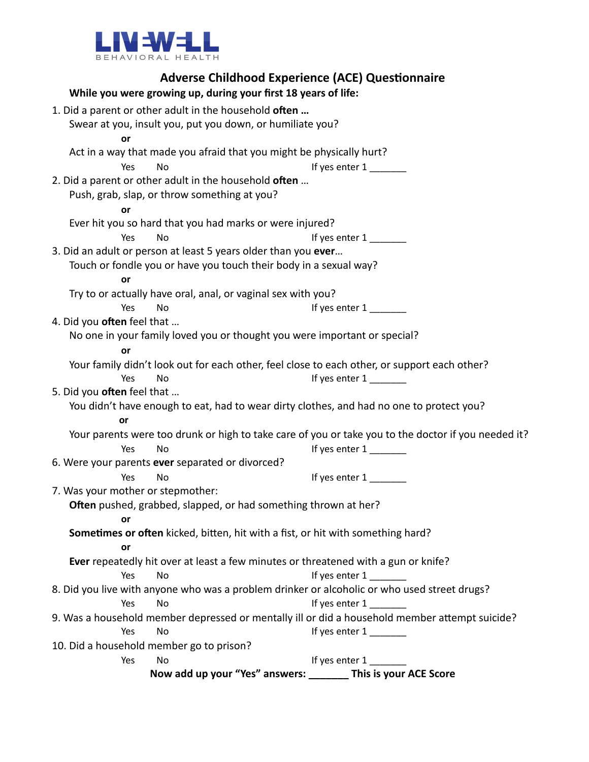

| <b>Adverse Childhood Experience (ACE) Questionnaire</b>                                             |                         |
|-----------------------------------------------------------------------------------------------------|-------------------------|
| While you were growing up, during your first 18 years of life:                                      |                         |
| 1. Did a parent or other adult in the household often                                               |                         |
| Swear at you, insult you, put you down, or humiliate you?                                           |                         |
| or                                                                                                  |                         |
| Act in a way that made you afraid that you might be physically hurt?                                |                         |
| No<br>Yes                                                                                           | If yes enter $1$ ______ |
| 2. Did a parent or other adult in the household often                                               |                         |
| Push, grab, slap, or throw something at you?                                                        |                         |
| or                                                                                                  |                         |
| Ever hit you so hard that you had marks or were injured?                                            |                         |
| Yes<br>No                                                                                           | If yes enter 1          |
| 3. Did an adult or person at least 5 years older than you ever                                      |                         |
| Touch or fondle you or have you touch their body in a sexual way?<br>or                             |                         |
| Try to or actually have oral, anal, or vaginal sex with you?                                        |                         |
| Yes<br>No                                                                                           | If yes enter 1          |
| 4. Did you often feel that                                                                          |                         |
| No one in your family loved you or thought you were important or special?                           |                         |
| or                                                                                                  |                         |
| Your family didn't look out for each other, feel close to each other, or support each other?        |                         |
| Yes<br>No                                                                                           |                         |
| 5. Did you often feel that                                                                          |                         |
| You didn't have enough to eat, had to wear dirty clothes, and had no one to protect you?            |                         |
| or                                                                                                  |                         |
| Your parents were too drunk or high to take care of you or take you to the doctor if you needed it? |                         |
| Yes<br>No                                                                                           | If yes enter 1          |
| 6. Were your parents ever separated or divorced?                                                    |                         |
| Yes<br>No                                                                                           | If yes enter 1          |
| 7. Was your mother or stepmother:                                                                   |                         |
| Often pushed, grabbed, slapped, or had something thrown at her?                                     |                         |
| or<br>Sometimes or often kicked, bitten, hit with a fist, or hit with something hard?               |                         |
| or                                                                                                  |                         |
| Ever repeatedly hit over at least a few minutes or threatened with a gun or knife?                  |                         |
| Yes<br>No                                                                                           | If yes enter 1          |
| 8. Did you live with anyone who was a problem drinker or alcoholic or who used street drugs?        |                         |
| Yes<br>No                                                                                           | If yes enter 1          |
| 9. Was a household member depressed or mentally ill or did a household member attempt suicide?      |                         |
| Yes<br>No                                                                                           | If yes enter $1$ ______ |
| 10. Did a household member go to prison?                                                            |                         |
| No<br>Yes                                                                                           | If yes enter 1          |
| Now add up your "Yes" answers: ________ This is your ACE Score                                      |                         |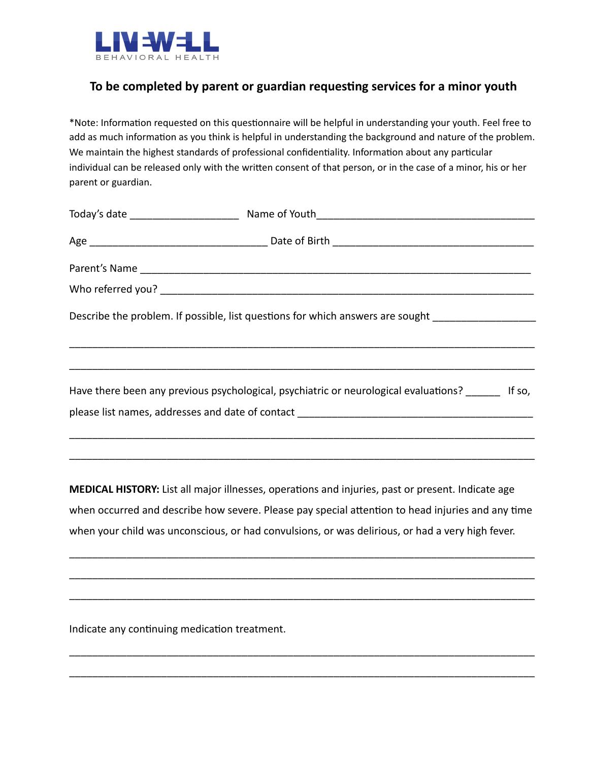

## **To be completed by parent or guardian requesng services for a minor youth**

\*Note: Information requested on this questionnaire will be helpful in understanding your youth. Feel free to add as much information as you think is helpful in understanding the background and nature of the problem. We maintain the highest standards of professional confidentiality. Information about any particular individual can be released only with the written consent of that person, or in the case of a minor, his or her parent or guardian.

| Describe the problem. If possible, list questions for which answers are sought ____________________ |  |
|-----------------------------------------------------------------------------------------------------|--|
| Have there been any previous psychological, psychiatric or neurological evaluations? If so,         |  |
|                                                                                                     |  |

**MEDICAL HISTORY:** List all major illnesses, operations and injuries, past or present. Indicate age when occurred and describe how severe. Please pay special attention to head injuries and any time when your child was unconscious, or had convulsions, or was delirious, or had a very high fever.

\_\_\_\_\_\_\_\_\_\_\_\_\_\_\_\_\_\_\_\_\_\_\_\_\_\_\_\_\_\_\_\_\_\_\_\_\_\_\_\_\_\_\_\_\_\_\_\_\_\_\_\_\_\_\_\_\_\_\_\_\_\_\_\_\_\_\_\_\_\_\_\_\_\_\_\_\_\_\_\_\_

\_\_\_\_\_\_\_\_\_\_\_\_\_\_\_\_\_\_\_\_\_\_\_\_\_\_\_\_\_\_\_\_\_\_\_\_\_\_\_\_\_\_\_\_\_\_\_\_\_\_\_\_\_\_\_\_\_\_\_\_\_\_\_\_\_\_\_\_\_\_\_\_\_\_\_\_\_\_\_\_\_

\_\_\_\_\_\_\_\_\_\_\_\_\_\_\_\_\_\_\_\_\_\_\_\_\_\_\_\_\_\_\_\_\_\_\_\_\_\_\_\_\_\_\_\_\_\_\_\_\_\_\_\_\_\_\_\_\_\_\_\_\_\_\_\_\_\_\_\_\_\_\_\_\_\_\_\_\_\_\_\_\_

\_\_\_\_\_\_\_\_\_\_\_\_\_\_\_\_\_\_\_\_\_\_\_\_\_\_\_\_\_\_\_\_\_\_\_\_\_\_\_\_\_\_\_\_\_\_\_\_\_\_\_\_\_\_\_\_\_\_\_\_\_\_\_\_\_\_\_\_\_\_\_\_\_\_\_\_\_\_\_\_\_

\_\_\_\_\_\_\_\_\_\_\_\_\_\_\_\_\_\_\_\_\_\_\_\_\_\_\_\_\_\_\_\_\_\_\_\_\_\_\_\_\_\_\_\_\_\_\_\_\_\_\_\_\_\_\_\_\_\_\_\_\_\_\_\_\_\_\_\_\_\_\_\_\_\_\_\_\_\_\_\_\_

\_\_\_\_\_\_\_\_\_\_\_\_\_\_\_\_\_\_\_\_\_\_\_\_\_\_\_\_\_\_\_\_\_\_\_\_\_\_\_\_\_\_\_\_\_\_\_\_\_\_\_\_\_\_\_\_\_\_\_\_\_\_\_\_\_\_\_\_\_\_\_\_\_\_\_\_\_\_\_\_\_

Indicate any continuing medication treatment.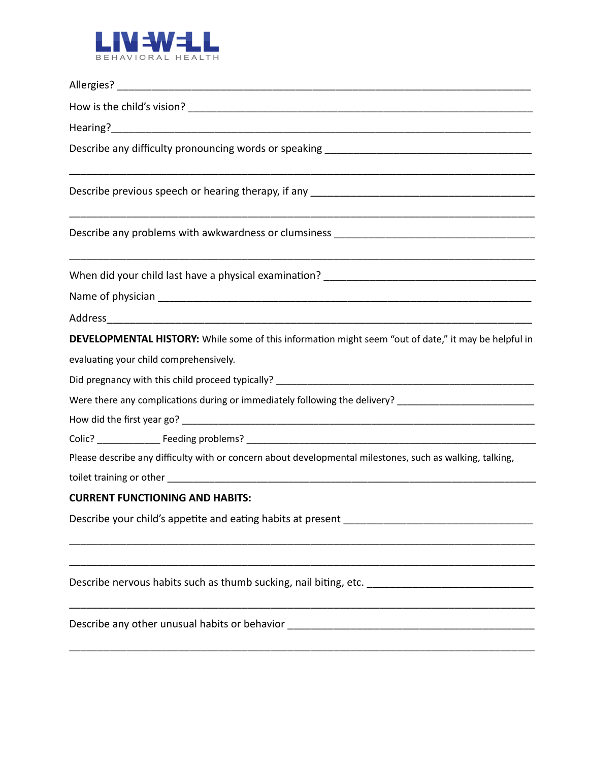

| Describe any problems with awkwardness or clumsiness ____________________________                        |
|----------------------------------------------------------------------------------------------------------|
|                                                                                                          |
|                                                                                                          |
|                                                                                                          |
| DEVELOPMENTAL HISTORY: While some of this information might seem "out of date," it may be helpful in     |
| evaluating your child comprehensively.                                                                   |
|                                                                                                          |
| Were there any complications during or immediately following the delivery? _________________________     |
|                                                                                                          |
|                                                                                                          |
| Please describe any difficulty with or concern about developmental milestones, such as walking, talking, |
|                                                                                                          |
| <b>CURRENT FUNCTIONING AND HABITS:</b>                                                                   |
|                                                                                                          |
| Describe nervous habits such as thumb sucking, nail biting, etc. __________________________________      |
| Describe any other unusual habits or behavior __________________________________                         |

\_\_\_\_\_\_\_\_\_\_\_\_\_\_\_\_\_\_\_\_\_\_\_\_\_\_\_\_\_\_\_\_\_\_\_\_\_\_\_\_\_\_\_\_\_\_\_\_\_\_\_\_\_\_\_\_\_\_\_\_\_\_\_\_\_\_\_\_\_\_\_\_\_\_\_\_\_\_\_\_\_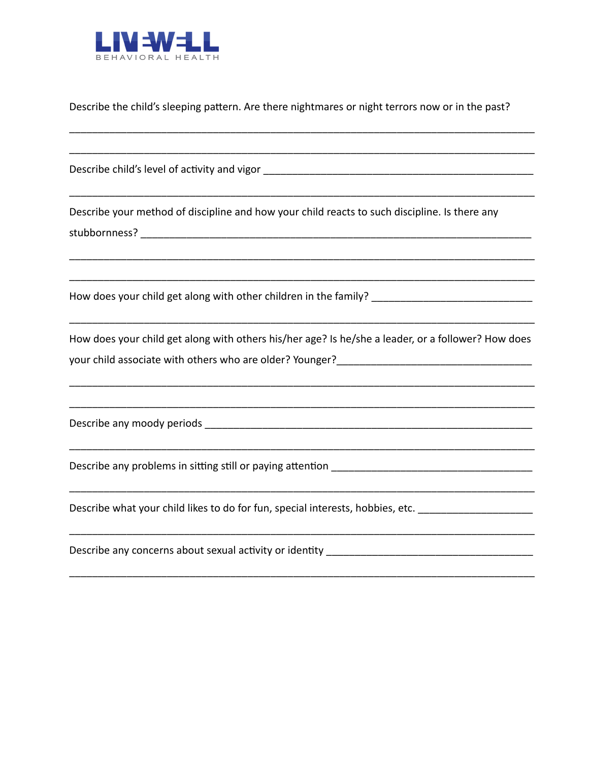

Describe the child's sleeping pattern. Are there nightmares or night terrors now or in the past?

Describe child's level of activity and vigor but all the state of the state of the state of the state of the state of the state of the state of the state of the state of the state of the state of the state of the state of

Describe your method of discipline and how your child reacts to such discipline. Is there any stubbornness? The contract of the contract of the contract of the contract of the contract of the contract of the contract of the contract of the contract of the contract of the contract of the contract of the contract of

How does your child get along with other children in the family?

How does your child get along with others his/her age? Is he/she a leader, or a follower? How does your child associate with others who are older? Younger?

Describe any moody periods and a series of the series of the series of the series of the series of the series

Describe any problems in sitting still or paying attention

Describe what your child likes to do for fun, special interests, hobbies, etc. \_\_\_\_\_\_\_\_\_\_\_\_\_\_\_\_\_\_\_\_

Describe any concerns about sexual activity or identity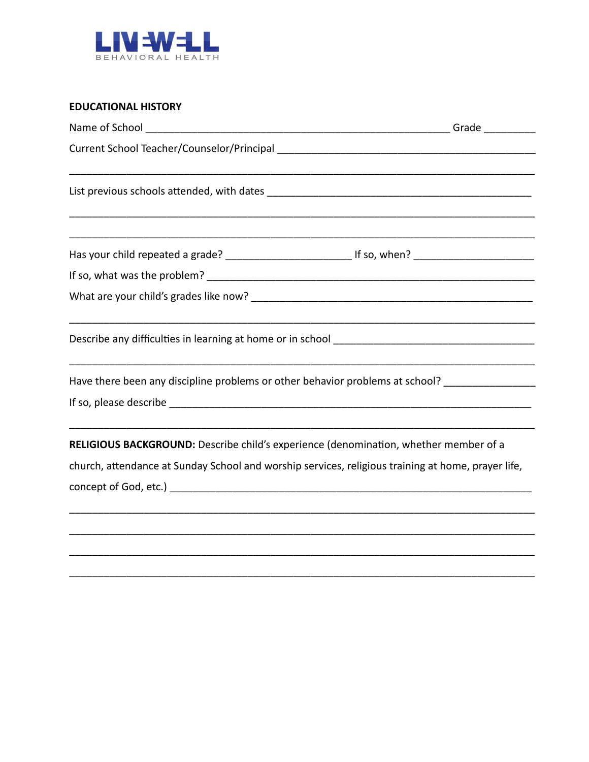

#### **EDUCATIONAL HISTORY**

| Name of School _                                                                                               | Grade $\_$ |
|----------------------------------------------------------------------------------------------------------------|------------|
|                                                                                                                |            |
|                                                                                                                |            |
| Has your child repeated a grade? ___________________________________If so, when? _____________________________ |            |
|                                                                                                                |            |
|                                                                                                                |            |
|                                                                                                                |            |
| Have there been any discipline problems or other behavior problems at school? ________________                 |            |
|                                                                                                                |            |
| RELIGIOUS BACKGROUND: Describe child's experience (denomination, whether member of a                           |            |
| church, attendance at Sunday School and worship services, religious training at home, prayer life,             |            |
|                                                                                                                |            |
|                                                                                                                |            |
|                                                                                                                |            |
|                                                                                                                |            |
|                                                                                                                |            |
|                                                                                                                |            |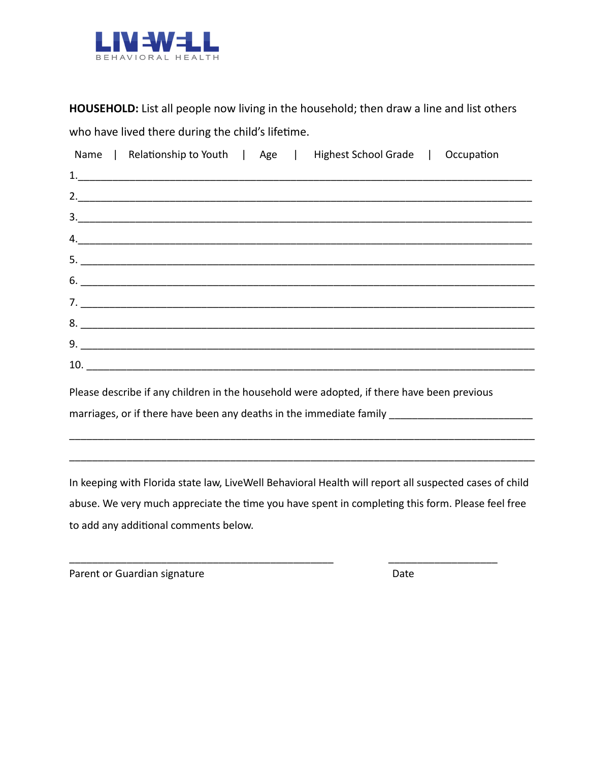

**HOUSEHOLD:** List all people now living in the household; then draw a line and list others who have lived there during the child's lifetime.

|     |  | Name   Relationship to Youth   Age   Highest School Grade   Occupation |  |
|-----|--|------------------------------------------------------------------------|--|
|     |  |                                                                        |  |
|     |  | 2.                                                                     |  |
|     |  | 3.                                                                     |  |
|     |  | 4.                                                                     |  |
|     |  |                                                                        |  |
| 6.  |  |                                                                        |  |
|     |  |                                                                        |  |
|     |  | $8.$ $\overline{\phantom{a}}$                                          |  |
|     |  |                                                                        |  |
| 10. |  |                                                                        |  |

Please describe if any children in the household were adopted, if there have been previous marriages, or if there have been any deaths in the immediate family

In keeping with Florida state law, LiveWell Behavioral Health will report all suspected cases of child abuse. We very much appreciate the time you have spent in completing this form. Please feel free to add any additional comments below.

\_\_\_\_\_\_\_\_\_\_\_\_\_\_\_\_\_\_\_\_\_\_\_\_\_\_\_\_\_\_\_\_\_\_\_\_\_\_\_\_\_\_\_\_\_\_ \_\_\_\_\_\_\_\_\_\_\_\_\_\_\_\_\_\_\_

\_\_\_\_\_\_\_\_\_\_\_\_\_\_\_\_\_\_\_\_\_\_\_\_\_\_\_\_\_\_\_\_\_\_\_\_\_\_\_\_\_\_\_\_\_\_\_\_\_\_\_\_\_\_\_\_\_\_\_\_\_\_\_\_\_\_\_\_\_\_\_\_\_\_\_\_\_\_\_\_\_

\_\_\_\_\_\_\_\_\_\_\_\_\_\_\_\_\_\_\_\_\_\_\_\_\_\_\_\_\_\_\_\_\_\_\_\_\_\_\_\_\_\_\_\_\_\_\_\_\_\_\_\_\_\_\_\_\_\_\_\_\_\_\_\_\_\_\_\_\_\_\_\_\_\_\_\_\_\_\_\_\_

Parent or Guardian signature Date Date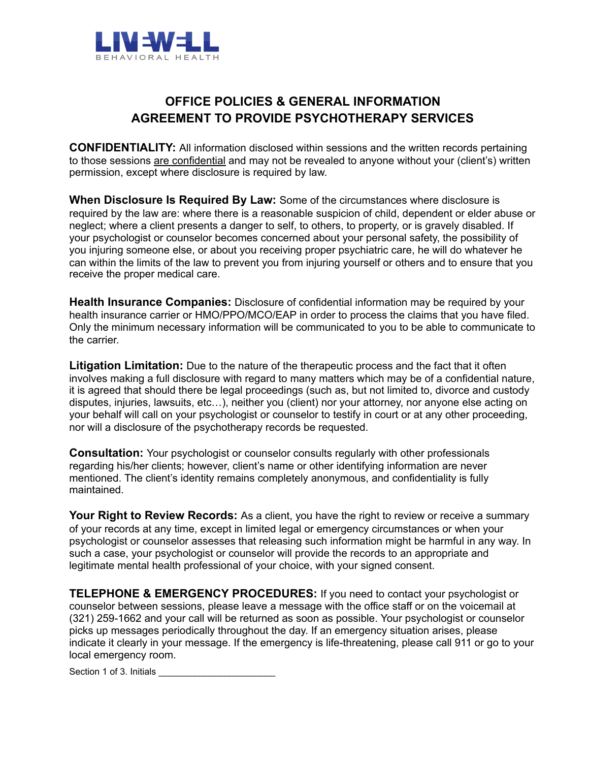

## **OFFICE POLICIES & GENERAL INFORMATION AGREEMENT TO PROVIDE PSYCHOTHERAPY SERVICES**

**CONFIDENTIALITY:** All information disclosed within sessions and the written records pertaining to those sessions are confidential and may not be revealed to anyone without your (client's) written permission, except where disclosure is required by law.

**When Disclosure Is Required By Law:** Some of the circumstances where disclosure is required by the law are: where there is a reasonable suspicion of child, dependent or elder abuse or neglect; where a client presents a danger to self, to others, to property, or is gravely disabled. If your psychologist or counselor becomes concerned about your personal safety, the possibility of you injuring someone else, or about you receiving proper psychiatric care, he will do whatever he can within the limits of the law to prevent you from injuring yourself or others and to ensure that you receive the proper medical care.

**Health Insurance Companies:** Disclosure of confidential information may be required by your health insurance carrier or HMO/PPO/MCO/EAP in order to process the claims that you have filed. Only the minimum necessary information will be communicated to you to be able to communicate to the carrier.

**Litigation Limitation:** Due to the nature of the therapeutic process and the fact that it often involves making a full disclosure with regard to many matters which may be of a confidential nature, it is agreed that should there be legal proceedings (such as, but not limited to, divorce and custody disputes, injuries, lawsuits, etc…), neither you (client) nor your attorney, nor anyone else acting on your behalf will call on your psychologist or counselor to testify in court or at any other proceeding, nor will a disclosure of the psychotherapy records be requested.

**Consultation:** Your psychologist or counselor consults regularly with other professionals regarding his/her clients; however, client's name or other identifying information are never mentioned. The client's identity remains completely anonymous, and confidentiality is fully maintained.

Your Right to Review Records: As a client, you have the right to review or receive a summary of your records at any time, except in limited legal or emergency circumstances or when your psychologist or counselor assesses that releasing such information might be harmful in any way. In such a case, your psychologist or counselor will provide the records to an appropriate and legitimate mental health professional of your choice, with your signed consent.

**TELEPHONE & EMERGENCY PROCEDURES:** If you need to contact your psychologist or counselor between sessions, please leave a message with the office staff or on the voicemail at (321) 259-1662 and your call will be returned as soon as possible. Your psychologist or counselor picks up messages periodically throughout the day. If an emergency situation arises, please indicate it clearly in your message. If the emergency is life-threatening, please call 911 or go to your local emergency room.

Section 1 of 3. Initials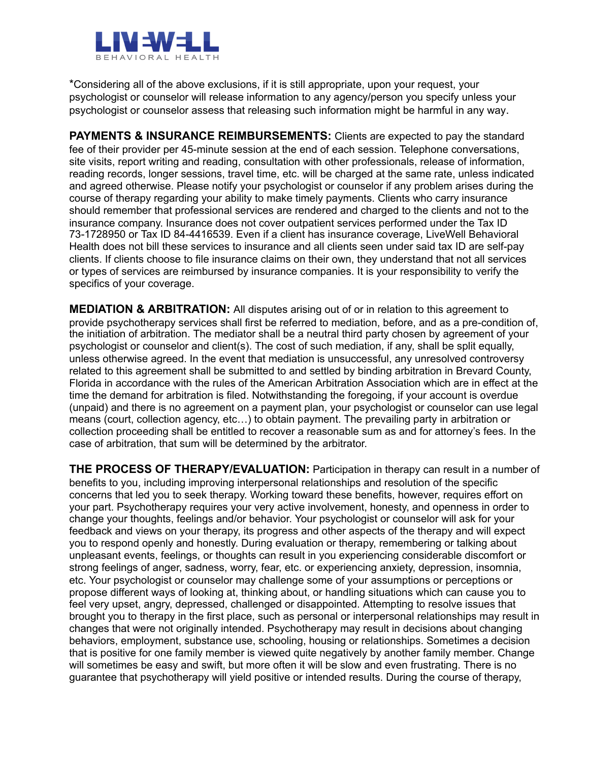

\* Considering all of the above exclusions, if it is still appropriate, upon your request, your psychologist or counselor will release information to any agency/person you specify unless your psychologist or counselor assess that releasing such information might be harmful in any way.

**PAYMENTS & INSURANCE REIMBURSEMENTS:** Clients are expected to pay the standard fee of their provider per 45-minute session at the end of each session. Telephone conversations, site visits, report writing and reading, consultation with other professionals, release of information, reading records, longer sessions, travel time, etc. will be charged at the same rate, unless indicated and agreed otherwise. Please notify your psychologist or counselor if any problem arises during the course of therapy regarding your ability to make timely payments. Clients who carry insurance should remember that professional services are rendered and charged to the clients and not to the insurance company. Insurance does not cover outpatient services performed under the Tax ID 73-1728950 or Tax ID 84-4416539. Even if a client has insurance coverage, LiveWell Behavioral Health does not bill these services to insurance and all clients seen under said tax ID are self-pay clients. If clients choose to file insurance claims on their own, they understand that not all services or types of services are reimbursed by insurance companies. It is your responsibility to verify the specifics of your coverage.

**MEDIATION & ARBITRATION:** All disputes arising out of or in relation to this agreement to provide psychotherapy services shall first be referred to mediation, before, and as a pre-condition of, the initiation of arbitration. The mediator shall be a neutral third party chosen by agreement of your psychologist or counselor and client(s). The cost of such mediation, if any, shall be split equally, unless otherwise agreed. In the event that mediation is unsuccessful, any unresolved controversy related to this agreement shall be submitted to and settled by binding arbitration in Brevard County, Florida in accordance with the rules of the American Arbitration Association which are in effect at the time the demand for arbitration is filed. Notwithstanding the foregoing, if your account is overdue (unpaid) and there is no agreement on a payment plan, your psychologist or counselor can use legal means (court, collection agency, etc…) to obtain payment. The prevailing party in arbitration or collection proceeding shall be entitled to recover a reasonable sum as and for attorney's fees. In the case of arbitration, that sum will be determined by the arbitrator.

**THE PROCESS OF THERAPY/EVALUATION:** Participation in therapy can result in a number of benefits to you, including improving interpersonal relationships and resolution of the specific concerns that led you to seek therapy. Working toward these benefits, however, requires effort on your part. Psychotherapy requires your very active involvement, honesty, and openness in order to change your thoughts, feelings and/or behavior. Your psychologist or counselor will ask for your feedback and views on your therapy, its progress and other aspects of the therapy and will expect you to respond openly and honestly. During evaluation or therapy, remembering or talking about unpleasant events, feelings, or thoughts can result in you experiencing considerable discomfort or strong feelings of anger, sadness, worry, fear, etc. or experiencing anxiety, depression, insomnia, etc. Your psychologist or counselor may challenge some of your assumptions or perceptions or propose different ways of looking at, thinking about, or handling situations which can cause you to feel very upset, angry, depressed, challenged or disappointed. Attempting to resolve issues that brought you to therapy in the first place, such as personal or interpersonal relationships may result in changes that were not originally intended. Psychotherapy may result in decisions about changing behaviors, employment, substance use, schooling, housing or relationships. Sometimes a decision that is positive for one family member is viewed quite negatively by another family member. Change will sometimes be easy and swift, but more often it will be slow and even frustrating. There is no guarantee that psychotherapy will yield positive or intended results. During the course of therapy,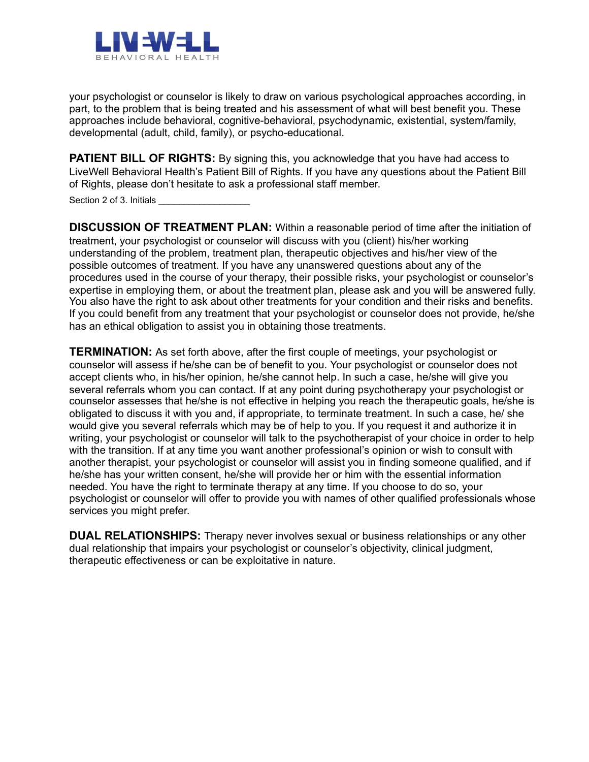

your psychologist or counselor is likely to draw on various psychological approaches according, in part, to the problem that is being treated and his assessment of what will best benefit you. These approaches include behavioral, cognitive-behavioral, psychodynamic, existential, system/family, developmental (adult, child, family), or psycho-educational.

**PATIENT BILL OF RIGHTS:** By signing this, you acknowledge that you have had access to LiveWell Behavioral Health's Patient Bill of Rights. If you have any questions about the Patient Bill of Rights, please don't hesitate to ask a professional staff member.

Section 2 of 3. Initials

**DISCUSSION OF TREATMENT PLAN:** Within a reasonable period of time after the initiation of treatment, your psychologist or counselor will discuss with you (client) his/her working understanding of the problem, treatment plan, therapeutic objectives and his/her view of the possible outcomes of treatment. If you have any unanswered questions about any of the procedures used in the course of your therapy, their possible risks, your psychologist or counselor's expertise in employing them, or about the treatment plan, please ask and you will be answered fully. You also have the right to ask about other treatments for your condition and their risks and benefits. If you could benefit from any treatment that your psychologist or counselor does not provide, he/she has an ethical obligation to assist you in obtaining those treatments.

**TERMINATION:** As set forth above, after the first couple of meetings, your psychologist or counselor will assess if he/she can be of benefit to you. Your psychologist or counselor does not accept clients who, in his/her opinion, he/she cannot help. In such a case, he/she will give you several referrals whom you can contact. If at any point during psychotherapy your psychologist or counselor assesses that he/she is not effective in helping you reach the therapeutic goals, he/she is obligated to discuss it with you and, if appropriate, to terminate treatment. In such a case, he/ she would give you several referrals which may be of help to you. If you request it and authorize it in writing, your psychologist or counselor will talk to the psychotherapist of your choice in order to help with the transition. If at any time you want another professional's opinion or wish to consult with another therapist, your psychologist or counselor will assist you in finding someone qualified, and if he/she has your written consent, he/she will provide her or him with the essential information needed. You have the right to terminate therapy at any time. If you choose to do so, your psychologist or counselor will offer to provide you with names of other qualified professionals whose services you might prefer.

**DUAL RELATIONSHIPS:** Therapy never involves sexual or business relationships or any other dual relationship that impairs your psychologist or counselor's objectivity, clinical judgment, therapeutic effectiveness or can be exploitative in nature.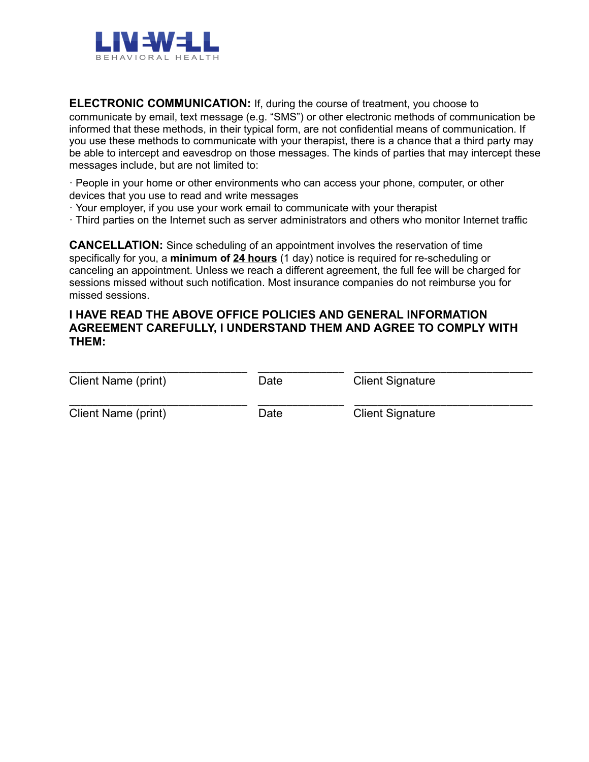

**ELECTRONIC COMMUNICATION:** If, during the course of treatment, you choose to communicate by email, text message (e.g. "SMS") or other electronic methods of communication be informed that these methods, in their typical form, are not confidential means of communication. If you use these methods to communicate with your therapist, there is a chance that a third party may be able to intercept and eavesdrop on those messages. The kinds of parties that may intercept these messages include, but are not limited to:

· People in your home or other environments who can access your phone, computer, or other devices that you use to read and write messages

- · Your employer, if you use your work email to communicate with your therapist
- · Third parties on the Internet such as server administrators and others who monitor Internet traffic

**CANCELLATION:** Since scheduling of an appointment involves the reservation of time specifically for you, a **minimum of 24 hours** (1 day) notice is required for re-scheduling or canceling an appointment. Unless we reach a different agreement, the full fee will be charged for sessions missed without such notification. Most insurance companies do not reimburse you for missed sessions.

#### **I HAVE READ THE ABOVE OFFICE POLICIES AND GENERAL INFORMATION AGREEMENT CAREFULLY, I UNDERSTAND THEM AND AGREE TO COMPLY WITH THEM:**

| Client Name (print) | Date | <b>Client Signature</b> |  |
|---------------------|------|-------------------------|--|
| Client Name (print) | Date | <b>Client Signature</b> |  |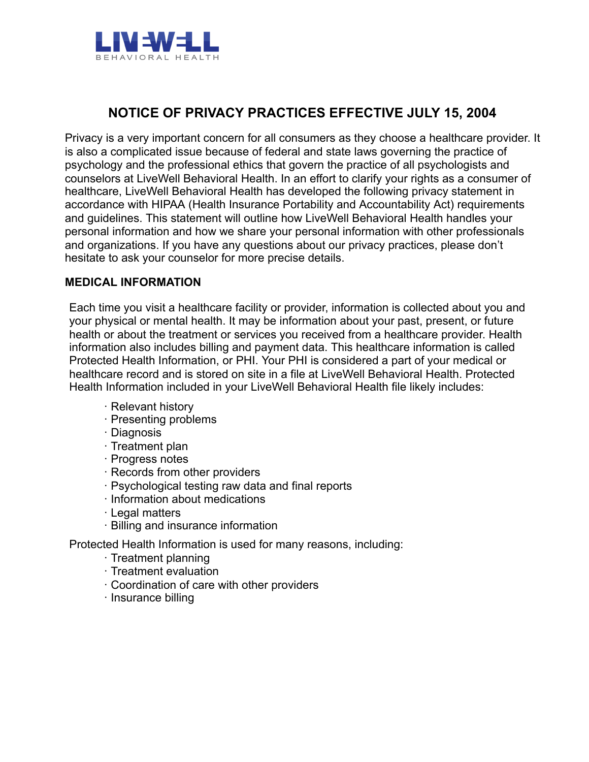

# **NOTICE OF PRIVACY PRACTICES EFFECTIVE JULY 15, 2004**

Privacy is a very important concern for all consumers as they choose a healthcare provider. It is also a complicated issue because of federal and state laws governing the practice of psychology and the professional ethics that govern the practice of all psychologists and counselors at LiveWell Behavioral Health. In an effort to clarify your rights as a consumer of healthcare, LiveWell Behavioral Health has developed the following privacy statement in accordance with HIPAA (Health Insurance Portability and Accountability Act) requirements and guidelines. This statement will outline how LiveWell Behavioral Health handles your personal information and how we share your personal information with other professionals and organizations. If you have any questions about our privacy practices, please don't hesitate to ask your counselor for more precise details.

#### **MEDICAL INFORMATION**

Each time you visit a healthcare facility or provider, information is collected about you and your physical or mental health. It may be information about your past, present, or future health or about the treatment or services you received from a healthcare provider. Health information also includes billing and payment data. This healthcare information is called Protected Health Information, or PHI. Your PHI is considered a part of your medical or healthcare record and is stored on site in a file at LiveWell Behavioral Health. Protected Health Information included in your LiveWell Behavioral Health file likely includes:

- · Relevant history
- · Presenting problems
- · Diagnosis
- · Treatment plan
- · Progress notes
- · Records from other providers
- · Psychological testing raw data and final reports
- · Information about medications
- · Legal matters
- · Billing and insurance information

Protected Health Information is used for many reasons, including:

- · Treatment planning
- · Treatment evaluation
- · Coordination of care with other providers
- · Insurance billing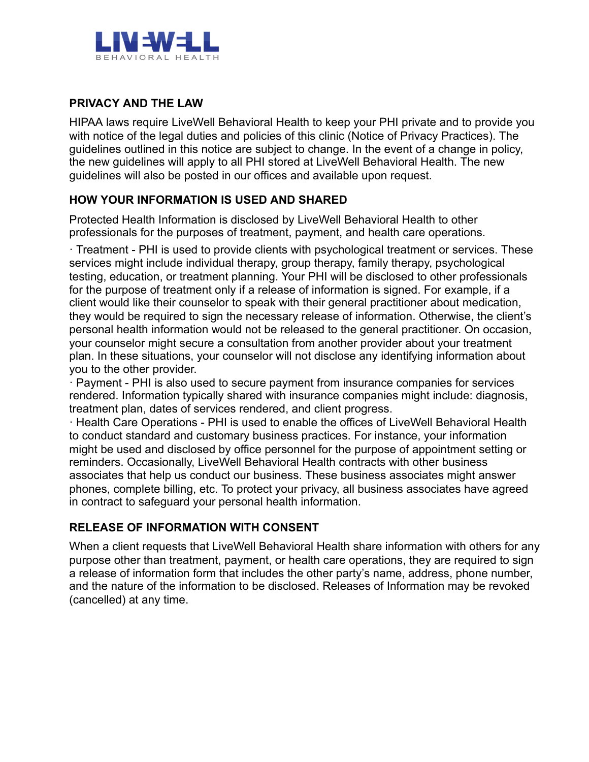

### **PRIVACY AND THE LAW**

HIPAA laws require LiveWell Behavioral Health to keep your PHI private and to provide you with notice of the legal duties and policies of this clinic (Notice of Privacy Practices). The guidelines outlined in this notice are subject to change. In the event of a change in policy, the new guidelines will apply to all PHI stored at LiveWell Behavioral Health. The new guidelines will also be posted in our offices and available upon request.

## **HOW YOUR INFORMATION IS USED AND SHARED**

Protected Health Information is disclosed by LiveWell Behavioral Health to other professionals for the purposes of treatment, payment, and health care operations.

· Treatment - PHI is used to provide clients with psychological treatment or services. These services might include individual therapy, group therapy, family therapy, psychological testing, education, or treatment planning. Your PHI will be disclosed to other professionals for the purpose of treatment only if a release of information is signed. For example, if a client would like their counselor to speak with their general practitioner about medication, they would be required to sign the necessary release of information. Otherwise, the client's personal health information would not be released to the general practitioner. On occasion, your counselor might secure a consultation from another provider about your treatment plan. In these situations, your counselor will not disclose any identifying information about you to the other provider.

· Payment - PHI is also used to secure payment from insurance companies for services rendered. Information typically shared with insurance companies might include: diagnosis, treatment plan, dates of services rendered, and client progress.

· Health Care Operations - PHI is used to enable the offices of LiveWell Behavioral Health to conduct standard and customary business practices. For instance, your information might be used and disclosed by office personnel for the purpose of appointment setting or reminders. Occasionally, LiveWell Behavioral Health contracts with other business associates that help us conduct our business. These business associates might answer phones, complete billing, etc. To protect your privacy, all business associates have agreed in contract to safeguard your personal health information.

### **RELEASE OF INFORMATION WITH CONSENT**

When a client requests that LiveWell Behavioral Health share information with others for any purpose other than treatment, payment, or health care operations, they are required to sign a release of information form that includes the other party's name, address, phone number, and the nature of the information to be disclosed. Releases of Information may be revoked (cancelled) at any time.